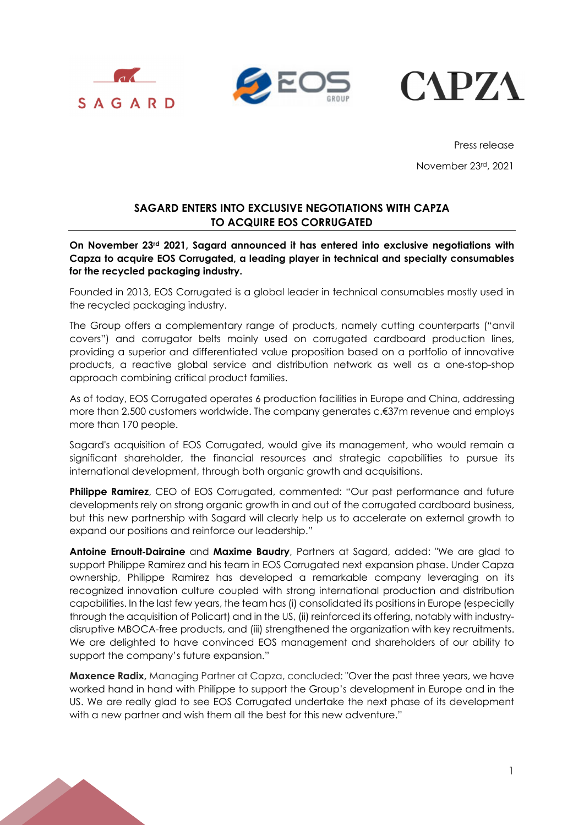





Press release November 23rd, 2021

## **SAGARD ENTERS INTO EXCLUSIVE NEGOTIATIONS WITH CAPZA TO ACQUIRE EOS CORRUGATED**

**On November 23rd 2021, Sagard announced it has entered into exclusive negotiations with Capza to acquire EOS Corrugated, a leading player in technical and specialty consumables for the recycled packaging industry.** 

Founded in 2013, EOS Corrugated is a global leader in technical consumables mostly used in the recycled packaging industry.

The Group offers a complementary range of products, namely cutting counterparts ("anvil covers") and corrugator belts mainly used on corrugated cardboard production lines, providing a superior and differentiated value proposition based on a portfolio of innovative products, a reactive global service and distribution network as well as a one-stop-shop approach combining critical product families.

As of today, EOS Corrugated operates 6 production facilities in Europe and China, addressing more than 2,500 customers worldwide. The company generates c.€37m revenue and employs more than 170 people.

Sagard's acquisition of EOS Corrugated, would give its management, who would remain a significant shareholder, the financial resources and strategic capabilities to pursue its international development, through both organic growth and acquisitions.

**Philippe Ramirez**, CEO of EOS Corrugated, commented: "Our past performance and future developments rely on strong organic growth in and out of the corrugated cardboard business, but this new partnership with Sagard will clearly help us to accelerate on external growth to expand our positions and reinforce our leadership."

**Antoine Ernoult**-**Dairaine** and **Maxime Baudry**, Partners at Sagard, added: "We are glad to support Philippe Ramirez and his team in EOS Corrugated next expansion phase. Under Capza ownership, Philippe Ramirez has developed a remarkable company leveraging on its recognized innovation culture coupled with strong international production and distribution capabilities. In the last few years, the team has (i) consolidated its positions in Europe (especially through the acquisition of Policart) and in the US, (ii) reinforced its offering, notably with industrydisruptive MBOCA-free products, and (iii) strengthened the organization with key recruitments. We are delighted to have convinced EOS management and shareholders of our ability to support the company's future expansion."

**Maxence Radix,** Managing Partner at Capza, concluded: "Over the past three years, we have worked hand in hand with Philippe to support the Group's development in Europe and in the US. We are really glad to see EOS Corrugated undertake the next phase of its development with a new partner and wish them all the best for this new adventure."

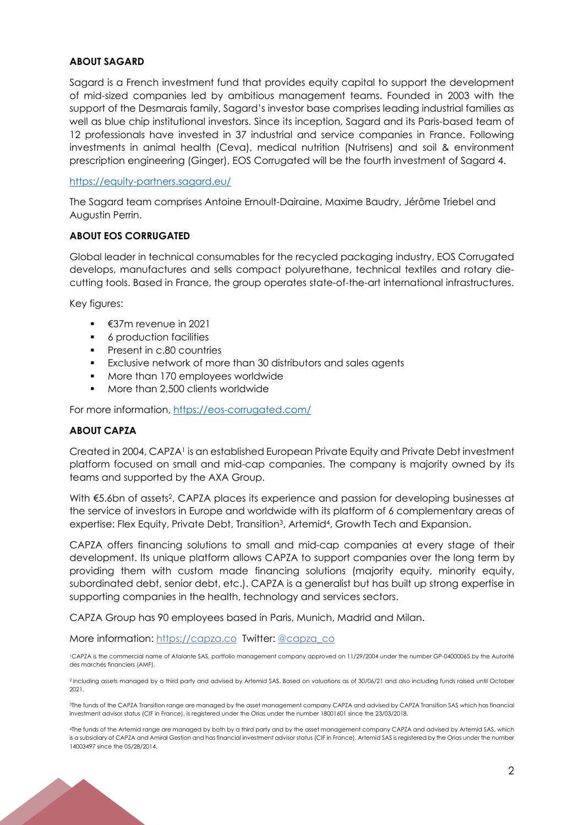### **ABOUT SAGARD**

Sagard is a French investment fund that provides equity capital to support the development of mid-sized companies led by ambitious management teams. Founded in 2003 with the support of the Desmarais family, Sagard's investor base comprises leading industrial families as well as blue chip institutional investors. Since its inception, Sagard and its Paris-based team of 12 professionals have invested in 37 industrial and service companies in France. Following investments in animal health (Ceva), medical nutrition (Nutrisens) and soil & environment prescription engineering (Ginger), EOS Corrugated will be the fourth investment of Sagard 4.

#### https://equity-partners.sagard.eu/

The Sagard team comprises Antoine Ernoult-Dairaine, Maxime Baudry, Jérôme Triebel and Augustin Perrin.

#### **ABOUT EOS CORRUGATED**

Global leader in technical consumables for the recycled packaging industry, EOS Corrugated develops, manufactures and sells compact polyurethane, technical textiles and rotary diecutting tools. Based in France, the group operates state-of-the-art international infrastructures.

Key figures:

- €37m revenue in 2021
- **6** production facilities
- Present in c.80 countries
- Exclusive network of more than 30 distributors and sales agents
- **More than 170 employees worldwide**
- More than 2,500 clients worldwide

For more information, https://eos-corrugated.com/

#### **ABOUT CAPZA**

Created in 2004, CAPZA1 is an established European Private Equity and Private Debt investment platform focused on small and mid-cap companies. The company is majority owned by its teams and supported by the AXA Group.

With €5.6bn of assets<sup>2</sup>, CAPZA places its experience and passion for developing businesses at the service of investors in Europe and worldwide with its platform of 6 complementary areas of expertise: Flex Equity, Private Debt, Transition3, Artemid4, Growth Tech and Expansion.

CAPZA offers financing solutions to small and mid-cap companies at every stage of their development. Its unique platform allows CAPZA to support companies over the long term by providing them with custom made financing solutions (majority equity, minority equity, subordinated debt, senior debt, etc.). CAPZA is a generalist but has built up strong expertise in supporting companies in the health, technology and services sectors.

CAPZA Group has 90 employees based in Paris, Munich, Madrid and Milan.

More information: https://capza.co Twitter: @capza\_co

1CAPZA is the commercial name of Atalante SAS, portfolio management company approved on 11/29/2004 under the number GP-04000065 by the Autorité des marchés financiers (AMF).

2 including assets managed by a third party and advised by Artemid SAS. Based on valuations as of 30/06/21 and also including funds raised until October 2021.

3The funds of the CAPZA Transition range are managed by the asset management company CAPZA and advised by CAPZA Transition SAS which has financial investment advisor status (CIF in France), is registered under the Orias under the number 18001601 since the 23/03/2018.

4The funds of the Artemid range are managed by both by a third party and by the asset management company CAPZA and advised by Artemid SAS, which is a subsidiary of CAPZA and Amiral Gestion and has financial investment advisor status (CIF in France). Artemid SAS is registered by the Orias under the number 14003497 since the 05/28/2014.